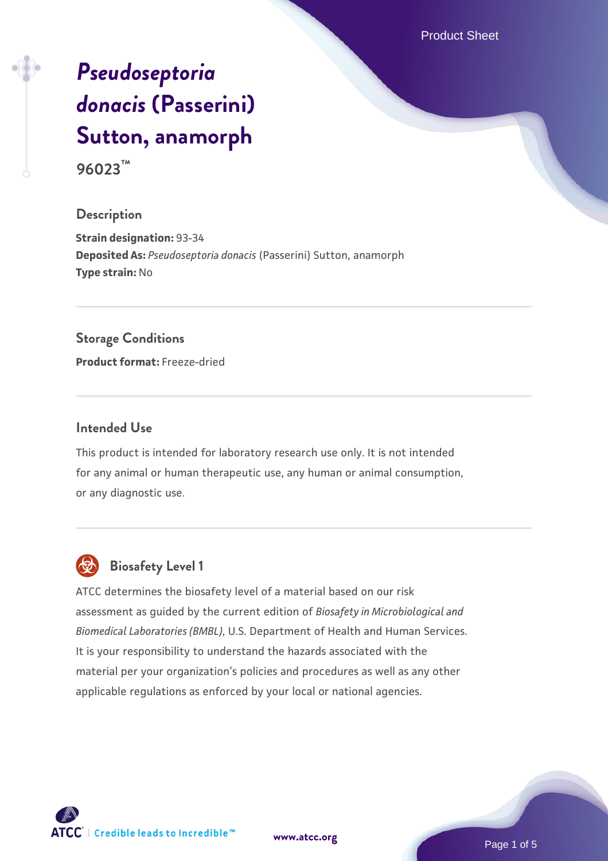Product Sheet

# *[Pseudoseptoria](https://www.atcc.org/products/96023) [donacis](https://www.atcc.org/products/96023)* **[\(Passerini\)](https://www.atcc.org/products/96023) [Sutton, anamorph](https://www.atcc.org/products/96023)**

**96023™**

## **Description**

**Strain designation:** 93-34 **Deposited As:** *Pseudoseptoria donacis* (Passerini) Sutton, anamorph **Type strain:** No

#### **Storage Conditions**

**Product format:** Freeze-dried

## **Intended Use**

This product is intended for laboratory research use only. It is not intended for any animal or human therapeutic use, any human or animal consumption, or any diagnostic use.



# **Biosafety Level 1**

ATCC determines the biosafety level of a material based on our risk assessment as guided by the current edition of *Biosafety in Microbiological and Biomedical Laboratories (BMBL)*, U.S. Department of Health and Human Services. It is your responsibility to understand the hazards associated with the material per your organization's policies and procedures as well as any other applicable regulations as enforced by your local or national agencies.

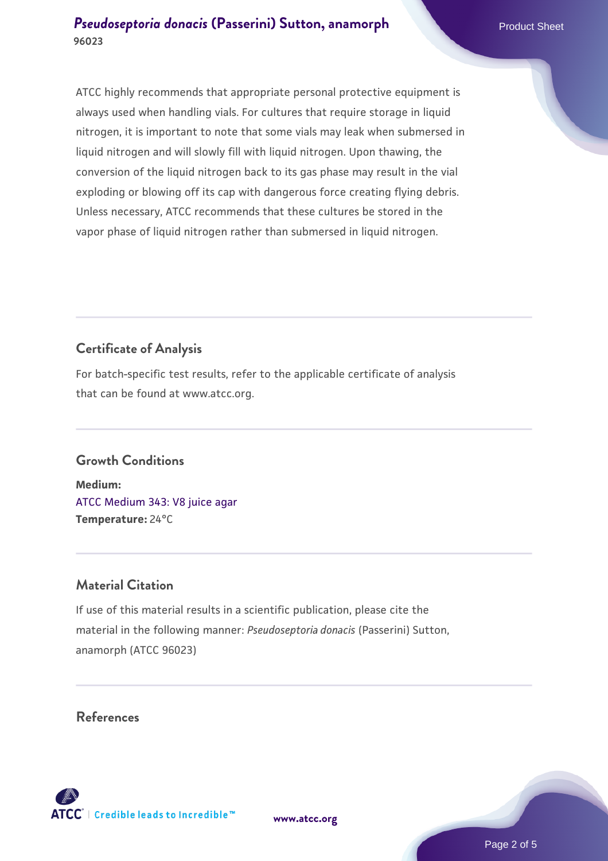ATCC highly recommends that appropriate personal protective equipment is always used when handling vials. For cultures that require storage in liquid nitrogen, it is important to note that some vials may leak when submersed in liquid nitrogen and will slowly fill with liquid nitrogen. Upon thawing, the conversion of the liquid nitrogen back to its gas phase may result in the vial exploding or blowing off its cap with dangerous force creating flying debris. Unless necessary, ATCC recommends that these cultures be stored in the vapor phase of liquid nitrogen rather than submersed in liquid nitrogen.

# **Certificate of Analysis**

For batch-specific test results, refer to the applicable certificate of analysis that can be found at www.atcc.org.

## **Growth Conditions**

**Medium:**  [ATCC Medium 343: V8 juice agar](https://www.atcc.org/-/media/product-assets/documents/microbial-media-formulations/3/4/3/atcc-medium-0343.pdf?rev=fbf48fa24e664932828269db1822ab12) **Temperature:** 24°C

# **Material Citation**

If use of this material results in a scientific publication, please cite the material in the following manner: *Pseudoseptoria donacis* (Passerini) Sutton, anamorph (ATCC 96023)

## **References**



**[www.atcc.org](http://www.atcc.org)**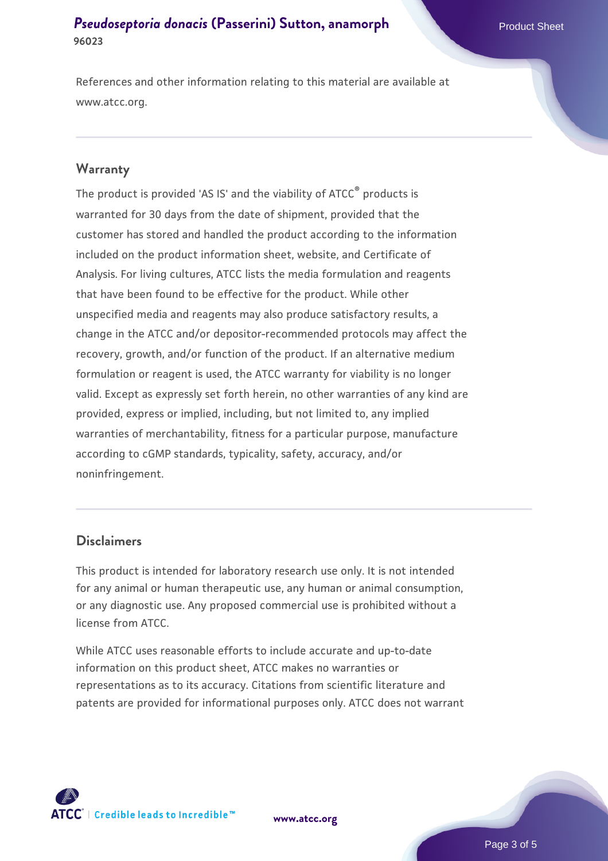References and other information relating to this material are available at www.atcc.org.

## **Warranty**

The product is provided 'AS IS' and the viability of ATCC® products is warranted for 30 days from the date of shipment, provided that the customer has stored and handled the product according to the information included on the product information sheet, website, and Certificate of Analysis. For living cultures, ATCC lists the media formulation and reagents that have been found to be effective for the product. While other unspecified media and reagents may also produce satisfactory results, a change in the ATCC and/or depositor-recommended protocols may affect the recovery, growth, and/or function of the product. If an alternative medium formulation or reagent is used, the ATCC warranty for viability is no longer valid. Except as expressly set forth herein, no other warranties of any kind are provided, express or implied, including, but not limited to, any implied warranties of merchantability, fitness for a particular purpose, manufacture according to cGMP standards, typicality, safety, accuracy, and/or noninfringement.

#### **Disclaimers**

This product is intended for laboratory research use only. It is not intended for any animal or human therapeutic use, any human or animal consumption, or any diagnostic use. Any proposed commercial use is prohibited without a license from ATCC.

While ATCC uses reasonable efforts to include accurate and up-to-date information on this product sheet, ATCC makes no warranties or representations as to its accuracy. Citations from scientific literature and patents are provided for informational purposes only. ATCC does not warrant

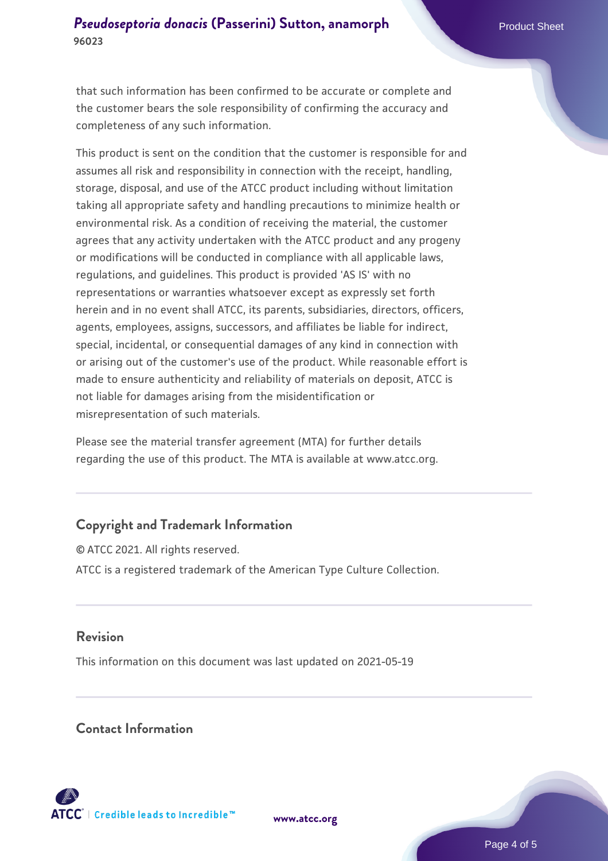that such information has been confirmed to be accurate or complete and the customer bears the sole responsibility of confirming the accuracy and completeness of any such information.

This product is sent on the condition that the customer is responsible for and assumes all risk and responsibility in connection with the receipt, handling, storage, disposal, and use of the ATCC product including without limitation taking all appropriate safety and handling precautions to minimize health or environmental risk. As a condition of receiving the material, the customer agrees that any activity undertaken with the ATCC product and any progeny or modifications will be conducted in compliance with all applicable laws, regulations, and guidelines. This product is provided 'AS IS' with no representations or warranties whatsoever except as expressly set forth herein and in no event shall ATCC, its parents, subsidiaries, directors, officers, agents, employees, assigns, successors, and affiliates be liable for indirect, special, incidental, or consequential damages of any kind in connection with or arising out of the customer's use of the product. While reasonable effort is made to ensure authenticity and reliability of materials on deposit, ATCC is not liable for damages arising from the misidentification or misrepresentation of such materials.

Please see the material transfer agreement (MTA) for further details regarding the use of this product. The MTA is available at www.atcc.org.

## **Copyright and Trademark Information**

© ATCC 2021. All rights reserved. ATCC is a registered trademark of the American Type Culture Collection.

## **Revision**

This information on this document was last updated on 2021-05-19

## **Contact Information**



**[www.atcc.org](http://www.atcc.org)**